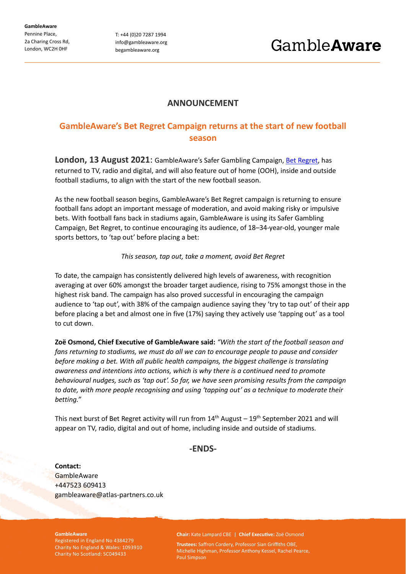**GambleAware** Pennine Place, 2a Charing Cross Rd, London, WC2H 0HF

T: +44 (0)20 7287 1994 info@gambleaware.org begambleaware.org

# **ANNOUNCEMENT**

# **GambleAware's Bet Regret Campaign returns at the start of new football season**

**London, 13 August 2021**: GambleAware's Safer Gambling Campaign, [Bet Regret,](https://www.begambleaware.org/betregret) has returned to TV, radio and digital, and will also feature out of home (OOH), inside and outside football stadiums, to align with the start of the new football season.

As the new football season begins, GambleAware's Bet Regret campaign is returning to ensure football fans adopt an important message of moderation, and avoid making risky or impulsive bets. With football fans back in stadiums again, GambleAware is using its Safer Gambling Campaign, Bet Regret, to continue encouraging its audience, of 18–34-year-old, younger male sports bettors, to 'tap out' before placing a bet:

### *This season, tap out, take a moment, avoid Bet Regret*

To date, the campaign has consistently delivered high levels of awareness, with recognition averaging at over 60% amongst the broader target audience, rising to 75% amongst those in the highest risk band. The campaign has also proved successful in encouraging the campaign audience to 'tap out', with 38% of the campaign audience saying they 'try to tap out' of their app before placing a bet and almost one in five (17%) saying they actively use 'tapping out' as a tool to cut down.

**Zoë Osmond, Chief Executive of GambleAware said:** *"With the start of the football season and fans returning to stadiums, we must do all we can to encourage people to pause and consider before making a bet. With all public health campaigns, the biggest challenge is translating awareness and intentions into actions, which is why there is a continued need to promote behavioural nudges, such as 'tap out'. So far, we have seen promising results from the campaign to date, with more people recognising and using 'tapping out' as a technique to moderate their betting."*

This next burst of Bet Regret activity will run from  $14<sup>th</sup>$  August –  $19<sup>th</sup>$  September 2021 and will appear on TV, radio, digital and out of home, including inside and outside of stadiums.

## **-ENDS-**

**Contact: GambleAware** +447523 609413 gambleaware@atlas-partners.co.uk

#### **GambleAware**

Registered in England No 4384279 Charity No England & Wales: 1093910 Charity No Scotland: SC049433

**Chair:** Kate Lampard CBE | **Chief Executive:** Zoë Osmond

**Trustees:** Saffron Cordery, Professor Sian Griffiths OBE, Michelle Highman, Professor Anthony Kessel, Rachel Pearce, Paul Simpson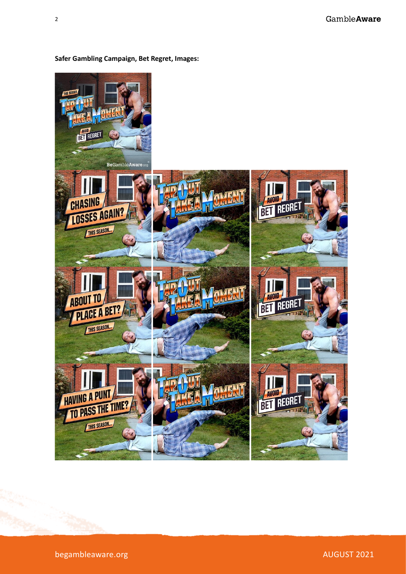

**Safer Gambling Campaign, Bet Regret, Images:**

begambleaware.org and the state of the state of the state of the AUGUST 2021